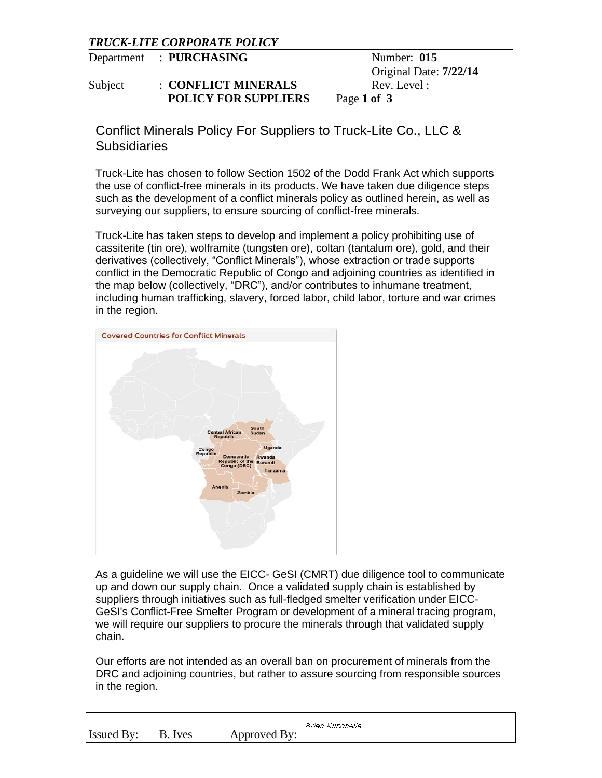## *TRUCK-LITE CORPORATE POLICY*

|         | Department : PURCHASING     | Number: 015            |
|---------|-----------------------------|------------------------|
|         |                             | Original Date: 7/22/14 |
| Subject | : CONFLICT MINERALS         | Rev. Level:            |
|         | <b>POLICY FOR SUPPLIERS</b> | Page 1 of 3            |

Conflict Minerals Policy For Suppliers to Truck-Lite Co., LLC & Subsidiaries

Truck-Lite has chosen to follow Section 1502 of the Dodd Frank Act which supports the use of conflict-free minerals in its products. We have taken due diligence steps such as the development of a conflict minerals policy as outlined herein, as well as surveying our suppliers, to ensure sourcing of conflict-free minerals.

Truck-Lite has taken steps to develop and implement a policy prohibiting use of cassiterite (tin ore), wolframite (tungsten ore), coltan (tantalum ore), gold, and their derivatives (collectively, "Conflict Minerals"), whose extraction or trade supports conflict in the Democratic Republic of Congo and adjoining countries as identified in the map below (collectively, "DRC"), and/or contributes to inhumane treatment, including human trafficking, slavery, forced labor, child labor, torture and war crimes in the region.



As a guideline we will use the EICC- GeSI (CMRT) due diligence tool to communicate up and down our supply chain. Once a validated supply chain is established by suppliers through initiatives such as full-fledged smelter verification under EICC-GeSI's Conflict-Free Smelter Program or development of a mineral tracing program, we will require our suppliers to procure the minerals through that validated supply chain.

Our efforts are not intended as an overall ban on procurement of minerals from the DRC and adjoining countries, but rather to assure sourcing from responsible sources in the region.

|            |         |              | Brian Kupchella |
|------------|---------|--------------|-----------------|
| Issued By: | B. Ives | Approved By: |                 |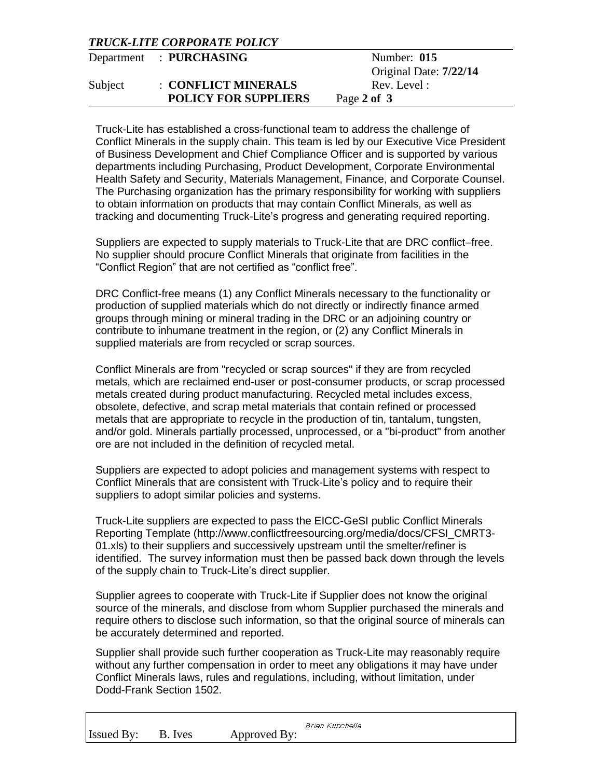## *TRUCK-LITE CORPORATE POLICY*

|         | Department : PURCHASING     | Number: $015$          |
|---------|-----------------------------|------------------------|
|         |                             | Original Date: 7/22/14 |
| Subject | : CONFLICT MINERALS         | Rev. Level:            |
|         | <b>POLICY FOR SUPPLIERS</b> | Page 2 of 3            |

Truck-Lite has established a cross-functional team to address the challenge of Conflict Minerals in the supply chain. This team is led by our Executive Vice President of Business Development and Chief Compliance Officer and is supported by various departments including Purchasing, Product Development, Corporate Environmental Health Safety and Security, Materials Management, Finance, and Corporate Counsel. The Purchasing organization has the primary responsibility for working with suppliers to obtain information on products that may contain Conflict Minerals, as well as tracking and documenting Truck-Lite's progress and generating required reporting.

Suppliers are expected to supply materials to Truck-Lite that are DRC conflict–free. No supplier should procure Conflict Minerals that originate from facilities in the "Conflict Region" that are not certified as "conflict free".

DRC Conflict-free means (1) any Conflict Minerals necessary to the functionality or production of supplied materials which do not directly or indirectly finance armed groups through mining or mineral trading in the DRC or an adjoining country or contribute to inhumane treatment in the region, or (2) any Conflict Minerals in supplied materials are from recycled or scrap sources.

Conflict Minerals are from "recycled or scrap sources" if they are from recycled metals, which are reclaimed end-user or post-consumer products, or scrap processed metals created during product manufacturing. Recycled metal includes excess, obsolete, defective, and scrap metal materials that contain refined or processed metals that are appropriate to recycle in the production of tin, tantalum, tungsten, and/or gold. Minerals partially processed, unprocessed, or a "bi-product" from another ore are not included in the definition of recycled metal.

Suppliers are expected to adopt policies and management systems with respect to Conflict Minerals that are consistent with Truck-Lite's policy and to require their suppliers to adopt similar policies and systems.

Truck-Lite suppliers are expected to pass the EICC-GeSI public Conflict Minerals Reporting Template (http://www.conflictfreesourcing.org/media/docs/CFSI\_CMRT3- 01.xls) to their suppliers and successively upstream until the smelter/refiner is identified. The survey information must then be passed back down through the levels of the supply chain to Truck-Lite's direct supplier.

Supplier agrees to cooperate with Truck-Lite if Supplier does not know the original source of the minerals, and disclose from whom Supplier purchased the minerals and require others to disclose such information, so that the original source of minerals can be accurately determined and reported.

Supplier shall provide such further cooperation as Truck-Lite may reasonably require without any further compensation in order to meet any obligations it may have under Conflict Minerals laws, rules and regulations, including, without limitation, under Dodd-Frank Section 1502.

|                   |         |              | Brian Kupchella |
|-------------------|---------|--------------|-----------------|
| <b>Issued By:</b> | B. Ives | Approved By: |                 |